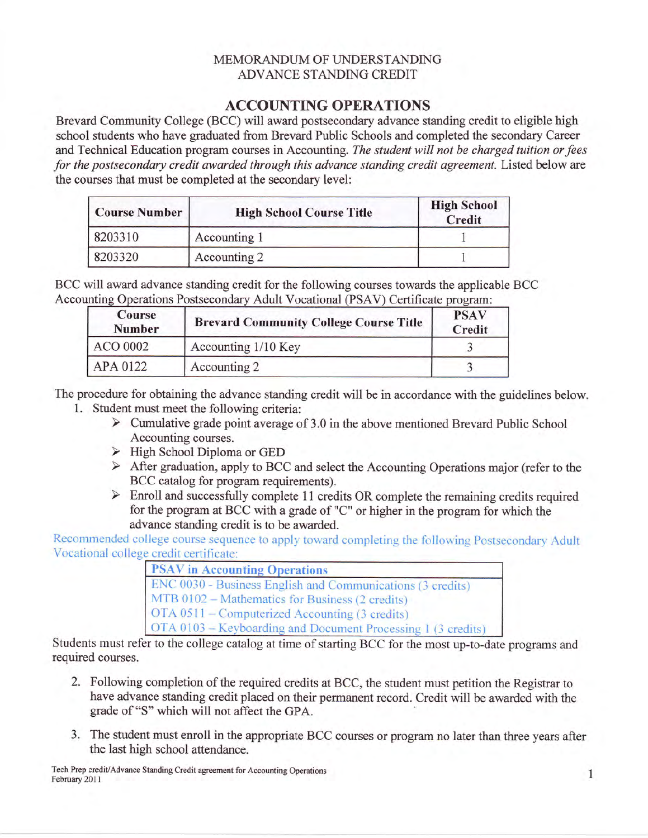## MEMORANDUM OF UNDERSTANDING ADVANCE STANDING CREDIT

## ACCOUNTING OPERATIONS

Brevard Community College (BCC) will award postsecondary advance standing credit to eligible high school students who have graduated from Brevard Public Schools and completed the secondary Career and Technical Education program courses in Accounting. The student will not be charged tuition or fees for the postsecondary credit awarded through this advance standing credit agreement. Listed below are the courses that must be completed at the secondary level:

| <b>Course Number</b> | <b>High School Course Title</b> | <b>High School</b><br>Credit |
|----------------------|---------------------------------|------------------------------|
| 8203310              | Accounting 1                    |                              |
| 8203320              | Accounting 2                    |                              |

BCC will award advance standing credit for the following courses towards the applicable BCC Accounting Operations Postsecondary Adult Vocational (PSAV) Certificate program:

| Course<br><b>Number</b> | <b>Brevard Community College Course Title</b> |  |
|-------------------------|-----------------------------------------------|--|
| ACO 0002                | Accounting 1/10 Key                           |  |
| APA 0122                | Accounting 2                                  |  |

The procedure for obtaining the advance standing credit will be in accordance with the guidelines below.

- 
- 1. Student must meet the following criteria:<br>  $\triangleright$  Cumulative grade point average of 3.0 in the above mentioned Brevard Public School Accounting courses.
	- $\triangleright$  High School Diploma or GED
	- > After graduation, apply to BCC and select the Accounting Operations major (refer to the BCC catalog for program requirements).<br>
	> Enroll and successfully complete 11 credits OR complete the remaining credits required
	- for the program at BCC with a grade of "C" or higher in the program for which the advance standing credit is to be awarded.

Recommended college course sequence to apply toward completing the following Postsecondary Adult Vocational college credit certificate:

| <b>PSAV</b> in Accounting Operations                         |
|--------------------------------------------------------------|
| ENC 0030 - Business English and Communications (3 credits)   |
| MTB 0102 - Mathematics for Business (2 credits)              |
| OTA 0511 – Computerized Accounting (3 credits)               |
| OTA 0103 - Keyboarding and Document Processing 1 (3 credits) |

Students must refer to the college catalog at time of starting BCC for the most up-to-date programs and required courses.

- 2. Following completion of the required credits at BCC, the student must petition the Registrar to have advance standing credit placed on their permanent record. Credit will be awarded with the grade of "S" which will not affect the GPA.
- 3. The student must enroll in the appropriate BCC courses or program no later than three years after the last high school attendance.